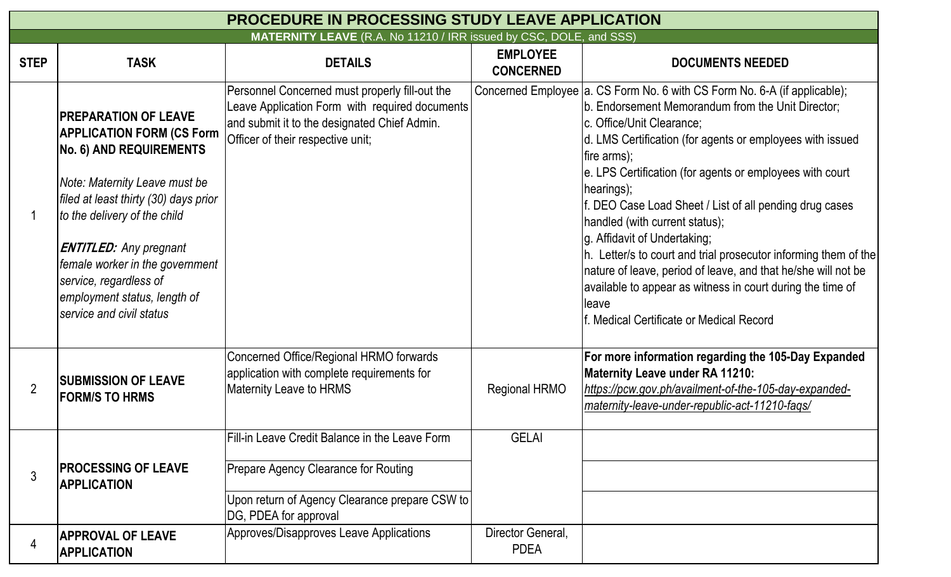| <b>PROCEDURE IN PROCESSING STUDY LEAVE APPLICATION</b>             |                                                                                                                                                                                                                                                                                                                                                                       |                                                                                                                                                                                       |                                     |                                                                                                                                                                                                                                                                                                                                                                                                                                                                                                                                                                                                                                                                                                          |  |  |  |  |  |
|--------------------------------------------------------------------|-----------------------------------------------------------------------------------------------------------------------------------------------------------------------------------------------------------------------------------------------------------------------------------------------------------------------------------------------------------------------|---------------------------------------------------------------------------------------------------------------------------------------------------------------------------------------|-------------------------------------|----------------------------------------------------------------------------------------------------------------------------------------------------------------------------------------------------------------------------------------------------------------------------------------------------------------------------------------------------------------------------------------------------------------------------------------------------------------------------------------------------------------------------------------------------------------------------------------------------------------------------------------------------------------------------------------------------------|--|--|--|--|--|
| MATERNITY LEAVE (R.A. No 11210 / IRR issued by CSC, DOLE, and SSS) |                                                                                                                                                                                                                                                                                                                                                                       |                                                                                                                                                                                       |                                     |                                                                                                                                                                                                                                                                                                                                                                                                                                                                                                                                                                                                                                                                                                          |  |  |  |  |  |
| <b>STEP</b>                                                        | <b>TASK</b>                                                                                                                                                                                                                                                                                                                                                           | <b>DETAILS</b>                                                                                                                                                                        | <b>EMPLOYEE</b><br><b>CONCERNED</b> | <b>DOCUMENTS NEEDED</b>                                                                                                                                                                                                                                                                                                                                                                                                                                                                                                                                                                                                                                                                                  |  |  |  |  |  |
|                                                                    | <b>PREPARATION OF LEAVE</b><br><b>APPLICATION FORM (CS Form</b><br><b>No. 6) AND REQUIREMENTS</b><br>Note: Maternity Leave must be<br>filed at least thirty (30) days prior<br>to the delivery of the child<br><b>ENTITLED:</b> Any pregnant<br>female worker in the government<br>service, regardless of<br>employment status, length of<br>service and civil status | Personnel Concerned must properly fill-out the<br>Leave Application Form with required documents<br>and submit it to the designated Chief Admin.<br>Officer of their respective unit; |                                     | Concerned Employee   a. CS Form No. 6 with CS Form No. 6-A (if applicable);<br>b. Endorsement Memorandum from the Unit Director;<br>c. Office/Unit Clearance;<br>d. LMS Certification (for agents or employees with issued<br>fire arms);<br>e. LPS Certification (for agents or employees with court<br>hearings);<br>f. DEO Case Load Sheet / List of all pending drug cases<br>handled (with current status);<br>g. Affidavit of Undertaking;<br>h. Letter/s to court and trial prosecutor informing them of the<br>nature of leave, period of leave, and that he/she will not be<br>available to appear as witness in court during the time of<br>leave<br>If. Medical Certificate or Medical Record |  |  |  |  |  |
| $\overline{2}$                                                     | <b>SUBMISSION OF LEAVE</b><br><b>FORM/S TO HRMS</b>                                                                                                                                                                                                                                                                                                                   | Concerned Office/Regional HRMO forwards<br>application with complete requirements for<br><b>Maternity Leave to HRMS</b>                                                               | <b>Regional HRMO</b>                | For more information regarding the 105-Day Expanded<br>Maternity Leave under RA 11210:<br>https://pcw.gov.ph/availment-of-the-105-day-expanded-<br>maternity-leave-under-republic-act-11210-fags/                                                                                                                                                                                                                                                                                                                                                                                                                                                                                                        |  |  |  |  |  |
| $\mathfrak{Z}$                                                     | <b>IPROCESSING OF LEAVE</b><br><b>IAPPLICATION</b>                                                                                                                                                                                                                                                                                                                    | Fill-in Leave Credit Balance in the Leave Form<br><b>Prepare Agency Clearance for Routing</b><br>Upon return of Agency Clearance prepare CSW to<br>DG, PDEA for approval              | <b>GELAI</b>                        |                                                                                                                                                                                                                                                                                                                                                                                                                                                                                                                                                                                                                                                                                                          |  |  |  |  |  |
| 4                                                                  | <b>APPROVAL OF LEAVE</b><br><b>APPLICATION</b>                                                                                                                                                                                                                                                                                                                        | Approves/Disapproves Leave Applications                                                                                                                                               | Director General,<br><b>PDEA</b>    |                                                                                                                                                                                                                                                                                                                                                                                                                                                                                                                                                                                                                                                                                                          |  |  |  |  |  |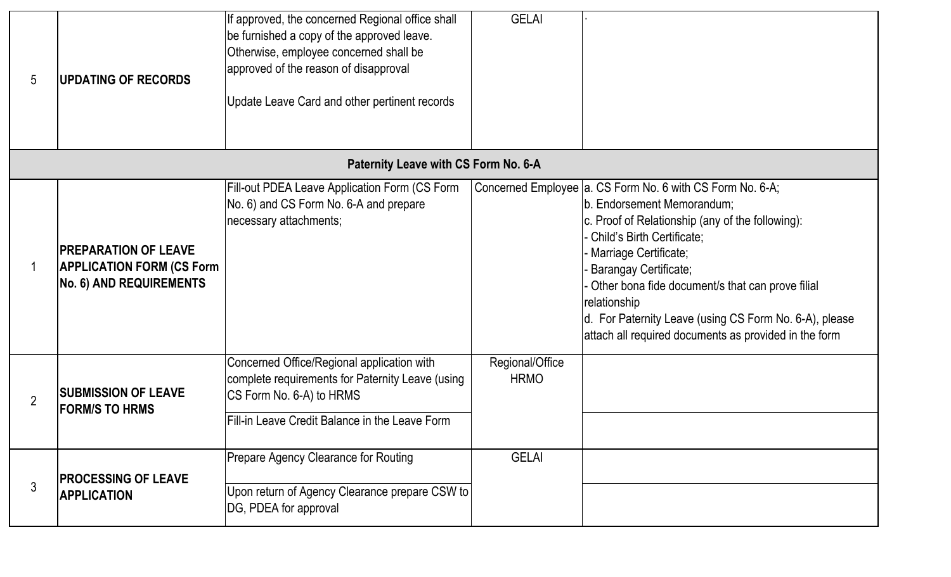| 5 | <b>UPDATING OF RECORDS</b>                                                                        | If approved, the concerned Regional office shall<br>be furnished a copy of the approved leave.<br>Otherwise, employee concerned shall be<br>approved of the reason of disapproval<br>Update Leave Card and other pertinent records | <b>GELAI</b>                   |                                                                                                                                                                                                                                                                                                                                                                                                                             |  |  |  |  |  |  |
|---|---------------------------------------------------------------------------------------------------|------------------------------------------------------------------------------------------------------------------------------------------------------------------------------------------------------------------------------------|--------------------------------|-----------------------------------------------------------------------------------------------------------------------------------------------------------------------------------------------------------------------------------------------------------------------------------------------------------------------------------------------------------------------------------------------------------------------------|--|--|--|--|--|--|
|   | Paternity Leave with CS Form No. 6-A                                                              |                                                                                                                                                                                                                                    |                                |                                                                                                                                                                                                                                                                                                                                                                                                                             |  |  |  |  |  |  |
|   | <b>PREPARATION OF LEAVE</b><br><b>APPLICATION FORM (CS Form</b><br><b>No. 6) AND REQUIREMENTS</b> | Fill-out PDEA Leave Application Form (CS Form<br>No. 6) and CS Form No. 6-A and prepare<br>necessary attachments;                                                                                                                  |                                | Concerned Employee   a. CS Form No. 6 with CS Form No. 6-A;<br>b. Endorsement Memorandum;<br>c. Proof of Relationship (any of the following):<br>Child's Birth Certificate;<br>Marriage Certificate;<br><b>Barangay Certificate;</b><br>Other bona fide document/s that can prove filial<br>relationship<br>d. For Paternity Leave (using CS Form No. 6-A), please<br>attach all required documents as provided in the form |  |  |  |  |  |  |
|   | <b>ISUBMISSION OF LEAVE</b><br><b>FORM/S TO HRMS</b>                                              | Concerned Office/Regional application with<br>complete requirements for Paternity Leave (using<br>CS Form No. 6-A) to HRMS<br>Fill-in Leave Credit Balance in the Leave Form                                                       | Regional/Office<br><b>HRMO</b> |                                                                                                                                                                                                                                                                                                                                                                                                                             |  |  |  |  |  |  |
| 3 | <b>PROCESSING OF LEAVE</b><br><b>APPLICATION</b>                                                  | <b>Prepare Agency Clearance for Routing</b><br>Upon return of Agency Clearance prepare CSW to<br>DG, PDEA for approval                                                                                                             | <b>GELAI</b>                   |                                                                                                                                                                                                                                                                                                                                                                                                                             |  |  |  |  |  |  |